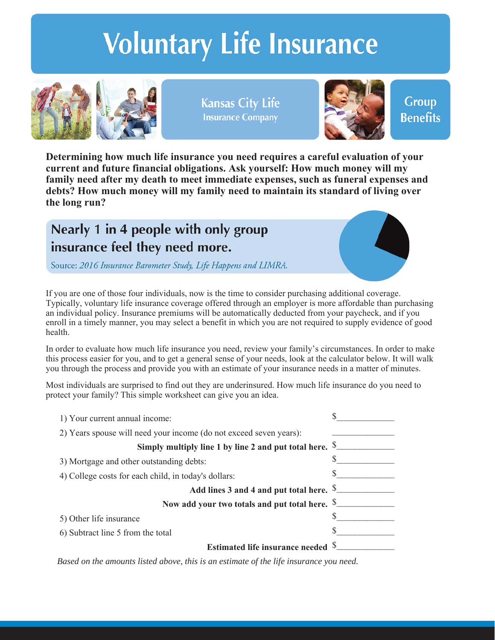# **Voluntary Life Insurance**



**Kansas City Life Insurance Company** 



**Group Benefits** 

**Determining how much life insurance you need requires a careful evaluation of your current and future financial obligations. Ask yourself: How much money will my family need after my death to meet immediate expenses, such as funeral expenses and debts? How much money will my family need to maintain its standard of living over the long run?**

## Nearly 1 in 4 people with only group insurance feel they need more.

Source: 2016 Insurance Barometer Study, Life Happens and LIMRA.

If you are one of those four individuals, now is the time to consider purchasing additional coverage. Typically, voluntary life insurance coverage offered through an employer is more affordable than purchasing an individual policy. Insurance premiums will be automatically deducted from your paycheck, and if you enroll in a timely manner, you may select a benefit in which you are not required to supply evidence of good health.

In order to evaluate how much life insurance you need, review your family's circumstances. In order to make this process easier for you, and to get a general sense of your needs, look at the calculator below. It will walk you through the process and provide you with an estimate of your insurance needs in a matter of minutes.

Most individuals are surprised to find out they are underinsured. How much life insurance do you need to protect your family? This simple worksheet can give you an idea.

| 1) Your current annual income:                                     |  |
|--------------------------------------------------------------------|--|
| 2) Years spouse will need your income (do not exceed seven years): |  |
| Simply multiply line 1 by line 2 and put total here. $\S$ .        |  |
| 3) Mortgage and other outstanding debts:                           |  |
| 4) College costs for each child, in today's dollars:               |  |
| Add lines 3 and 4 and put total here. S.                           |  |
| Now add your two totals and put total here. S.                     |  |
| 5) Other life insurance                                            |  |
| 6) Subtract line 5 from the total                                  |  |
| Estimated life insurance needed S.                                 |  |

*Based on the amounts listed above, this is an estimate of the life insurance you need.*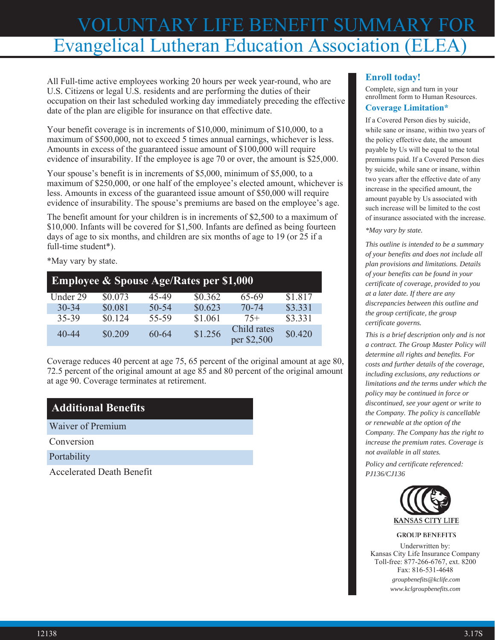# VOLUNTARY LIFE BENEFIT SUMMARY FOR Evangelical Lutheran Education Association (ELEA)

All Full-time active employees working 20 hours per week year-round, who are U.S. Citizens or legal U.S. residents and are performing the duties of their occupation on their last scheduled working day immediately preceding the effective date of the plan are eligible for insurance on that effective date.

Your benefit coverage is in increments of \$10,000, minimum of \$10,000, to a maximum of \$500,000, not to exceed 5 times annual earnings, whichever is less. Amounts in excess of the guaranteed issue amount of \$100,000 will require evidence of insurability. If the employee is age 70 or over, the amount is \$25,000.

Your spouse's benefit is in increments of \$5,000, minimum of \$5,000, to a maximum of \$250,000, or one half of the employee's elected amount, whichever is less. Amounts in excess of the guaranteed issue amount of \$50,000 will require evidence of insurability. The spouse's premiums are based on the employee's age.

The benefit amount for your children is in increments of \$2,500 to a maximum of \$10,000. Infants will be covered for \$1,500. Infants are defined as being fourteen days of age to six months, and children are six months of age to 19 (or 25 if a full-time student\*).

\*May vary by state.

| <b>Employee &amp; Spouse Age/Rates per \$1,000</b> |         |       |         |                            |         |
|----------------------------------------------------|---------|-------|---------|----------------------------|---------|
| Under 29                                           | \$0.073 | 45-49 | \$0.362 | 65-69                      | \$1.817 |
| $30 - 34$                                          | \$0.081 | 50-54 | \$0.623 | 70-74                      | \$3.331 |
| 35-39                                              | \$0.124 | 55-59 | \$1.061 | $75+$                      | \$3.331 |
| 40-44                                              | \$0.209 | 60-64 | \$1.256 | Child rates<br>per \$2,500 | \$0.420 |

Coverage reduces 40 percent at age 75, 65 percent of the original amount at age 80, 72.5 percent of the original amount at age 85 and 80 percent of the original amount at age 90. Coverage terminates at retirement.

## **Additional Benefits**

Waiver of Premium

Conversion

Portability

Accelerated Death Benefit

### **Enroll today!**

Complete, sign and turn in your enrollment form to Human Resources.

#### **Coverage Limitation\***

If a Covered Person dies by suicide, while sane or insane, within two years of the policy effective date, the amount payable by Us will be equal to the total premiums paid. If a Covered Person dies by suicide, while sane or insane, within two years after the effective date of any increase in the specified amount, the amount payable by Us associated with such increase will be limited to the cost of insurance associated with the increase.

*\*May vary by state.*

*This outline is intended to be a summary of your benefits and does not include all plan provisions and limitations. Details of your benefits can be found in your certificate of coverage, provided to you at a later date. If there are any discrepancies between this outline and the group certificate, the group certificate governs.*

*This is a brief description only and is not a contract. The Group Master Policy will determine all rights and benefits. For costs and further details of the coverage, including exclusions, any reductions or limitations and the terms under which the policy may be continued in force or discontinued, see your agent or write to the Company. The policy is cancellable or renewable at the option of the Company. The Company has the right to increase the premium rates. Coverage is not available in all states.*

*Policy and certificate referenced: PJ136/CJ136*



#### **GROUP BENEFITS**

Underwritten by: Kansas City Life Insurance Company Toll-free: 877-266-6767, ext. 8200 Fax: 816-531-4648 *groupbenefits@kclife.com*

*www.kclgroupbenefits.com*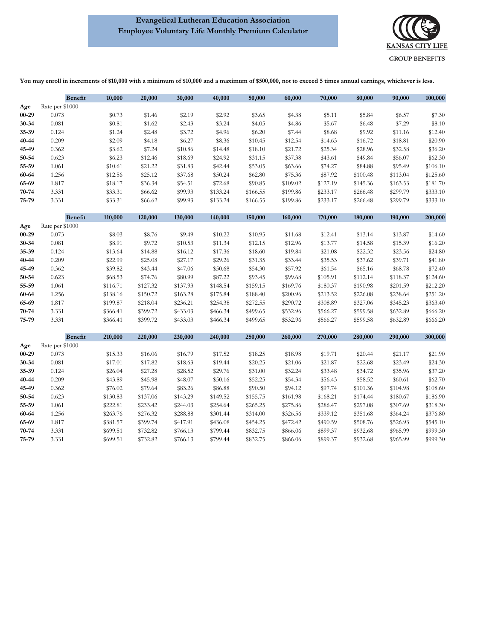#### **Evangelical Lutheran Education Association Employee Voluntary Life Monthly Premium Calculator**



**You may enroll in increments of \$10,000 with a minimum of \$10,000 and a maximum of \$500,000, not to exceed 5 times annual earnings, whichever is less.**

|           | <b>Benefit</b>  | 10,000   | 20,000   | 30,000   | 40,000   | 50,000   | 60,000   | 70,000   | 80,000   | 90,000   | 100,000  |
|-----------|-----------------|----------|----------|----------|----------|----------|----------|----------|----------|----------|----------|
| Age       | Rate per \$1000 |          |          |          |          |          |          |          |          |          |          |
| $00 - 29$ | 0.073           | \$0.73   | \$1.46   | \$2.19   | \$2.92   | \$3.65   | \$4.38   | \$5.11   | \$5.84   | \$6.57   | \$7.30   |
| 30-34     | 0.081           | \$0.81   | \$1.62   | \$2.43   | \$3.24   | \$4.05   | \$4.86   | \$5.67   | \$6.48   | \$7.29   | \$8.10   |
| 35-39     | 0.124           | \$1.24   | \$2.48   | \$3.72   | \$4.96   | \$6.20   | \$7.44   | \$8.68   | \$9.92   | \$11.16  | \$12.40  |
| 40-44     | 0.209           | \$2.09   | \$4.18   | \$6.27   | \$8.36   | \$10.45  | \$12.54  | \$14.63  | \$16.72  | \$18.81  | \$20.90  |
| 45-49     | 0.362           | \$3.62   | \$7.24   | \$10.86  | \$14.48  | \$18.10  | \$21.72  | \$25.34  | \$28.96  | \$32.58  | \$36.20  |
| 50-54     | 0.623           | \$6.23   | \$12.46  | \$18.69  | \$24.92  | \$31.15  | \$37.38  | \$43.61  | \$49.84  | \$56.07  | \$62.30  |
| 55-59     | 1.061           | \$10.61  | \$21.22  | \$31.83  | \$42.44  | \$53.05  | \$63.66  | \$74.27  | \$84.88  | \$95.49  | \$106.10 |
| 60-64     | 1.256           | \$12.56  | \$25.12  | \$37.68  | \$50.24  | \$62.80  | \$75.36  | \$87.92  | \$100.48 | \$113.04 | \$125.60 |
| 65-69     | 1.817           | \$18.17  | \$36.34  | \$54.51  | \$72.68  | \$90.85  | \$109.02 | \$127.19 | \$145.36 | \$163.53 | \$181.70 |
| 70-74     | 3.331           | \$33.31  | \$66.62  | \$99.93  | \$133.24 | \$166.55 | \$199.86 | \$233.17 | \$266.48 | \$299.79 | \$333.10 |
| 75-79     | 3.331           | \$33.31  | \$66.62  | \$99.93  | \$133.24 | \$166.55 | \$199.86 | \$233.17 | \$266.48 | \$299.79 | \$333.10 |
|           |                 |          |          |          |          |          |          |          |          |          |          |
|           | <b>Benefit</b>  | 110,000  | 120,000  | 130,000  | 140,000  | 150,000  | 160,000  | 170,000  | 180,000  | 190,000  | 200,000  |
| Age       | Rate per \$1000 |          |          |          |          |          |          |          |          |          |          |
| $00 - 29$ | 0.073           | \$8.03   | \$8.76   | \$9.49   | \$10.22  | \$10.95  | \$11.68  | \$12.41  | \$13.14  | \$13.87  | \$14.60  |
| 30-34     | 0.081           | \$8.91   | \$9.72   | \$10.53  | \$11.34  | \$12.15  | \$12.96  | \$13.77  | \$14.58  | \$15.39  | \$16.20  |
| 35-39     | 0.124           | \$13.64  | \$14.88  | \$16.12  | \$17.36  | \$18.60  | \$19.84  | \$21.08  | \$22.32  | \$23.56  | \$24.80  |
| 40-44     | 0.209           | \$22.99  | \$25.08  | \$27.17  | \$29.26  | \$31.35  | \$33.44  | \$35.53  | \$37.62  | \$39.71  | \$41.80  |
| 45-49     | 0.362           | \$39.82  | \$43.44  | \$47.06  | \$50.68  | \$54.30  | \$57.92  | \$61.54  | \$65.16  | \$68.78  | \$72.40  |
| 50-54     | 0.623           | \$68.53  | \$74.76  | \$80.99  | \$87.22  | \$93.45  | \$99.68  | \$105.91 | \$112.14 | \$118.37 | \$124.60 |
| 55-59     | 1.061           | \$116.71 | \$127.32 | \$137.93 | \$148.54 | \$159.15 | \$169.76 | \$180.37 | \$190.98 | \$201.59 | \$212.20 |
| 60-64     | 1.256           | \$138.16 | \$150.72 | \$163.28 | \$175.84 | \$188.40 | \$200.96 | \$213.52 | \$226.08 | \$238.64 | \$251.20 |
| 65-69     | 1.817           | \$199.87 | \$218.04 | \$236.21 | \$254.38 | \$272.55 | \$290.72 | \$308.89 | \$327.06 | \$345.23 | \$363.40 |
| 70-74     | 3.331           | \$366.41 | \$399.72 | \$433.03 | \$466.34 | \$499.65 | \$532.96 | \$566.27 | \$599.58 | \$632.89 | \$666.20 |
| 75-79     | 3.331           | \$366.41 | \$399.72 | \$433.03 | \$466.34 | \$499.65 | \$532.96 | \$566.27 | \$599.58 | \$632.89 | \$666.20 |
|           | <b>Benefit</b>  | 210,000  | 220,000  | 230,000  | 240,000  | 250,000  | 260,000  | 270,000  | 280,000  | 290,000  | 300,000  |
| Age       | Rate per \$1000 |          |          |          |          |          |          |          |          |          |          |
| $00 - 29$ | 0.073           | \$15.33  | \$16.06  | \$16.79  | \$17.52  | \$18.25  | \$18.98  | \$19.71  | \$20.44  | \$21.17  | \$21.90  |
| 30-34     | 0.081           | \$17.01  | \$17.82  | \$18.63  | \$19.44  | \$20.25  | \$21.06  | \$21.87  | \$22.68  | \$23.49  | \$24.30  |
| 35-39     | 0.124           | \$26.04  | \$27.28  | \$28.52  | \$29.76  | \$31.00  | \$32.24  | \$33.48  | \$34.72  | \$35.96  | \$37.20  |
| 40-44     | 0.209           | \$43.89  | \$45.98  | \$48.07  | \$50.16  | \$52.25  | \$54.34  | \$56.43  | \$58.52  | \$60.61  | \$62.70  |
| 45-49     | 0.362           | \$76.02  | \$79.64  | \$83.26  | \$86.88  | \$90.50  | \$94.12  | \$97.74  | \$101.36 | \$104.98 | \$108.60 |
| 50-54     | 0.623           | \$130.83 | \$137.06 | \$143.29 | \$149.52 | \$155.75 | \$161.98 | \$168.21 | \$174.44 | \$180.67 | \$186.90 |
| 55-59     | 1.061           | \$222.81 | \$233.42 | \$244.03 | \$254.64 | \$265.25 | \$275.86 | \$286.47 | \$297.08 | \$307.69 | \$318.30 |
| 60-64     | 1.256           | \$263.76 | \$276.32 | \$288.88 | \$301.44 | \$314.00 | \$326.56 | \$339.12 | \$351.68 | \$364.24 | \$376.80 |
| 65-69     | 1.817           | \$381.57 | \$399.74 | \$417.91 | \$436.08 | \$454.25 | \$472.42 | \$490.59 | \$508.76 | \$526.93 | \$545.10 |
| 70-74     | 3.331           | \$699.51 | \$732.82 | \$766.13 | \$799.44 | \$832.75 | \$866.06 | \$899.37 | \$932.68 | \$965.99 | \$999.30 |
| 75-79     | 3.331           | \$699.51 | \$732.82 | \$766.13 | \$799.44 | \$832.75 | \$866.06 | \$899.37 | \$932.68 | \$965.99 | \$999.30 |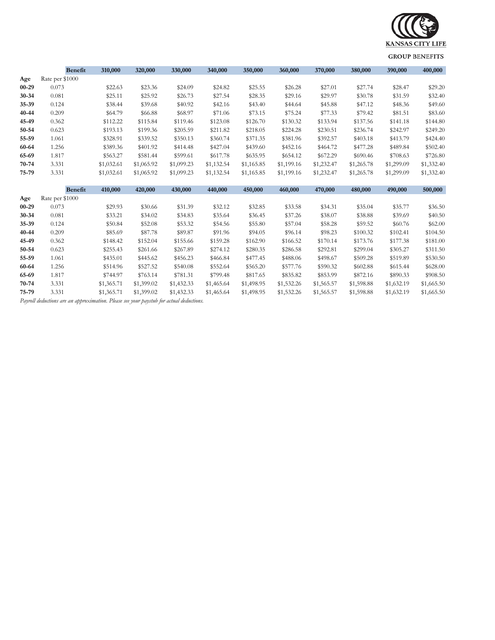

#### **GROUP BENEFITS**

|           | <b>Benefit</b>  | 310,000    | 320,000    | 330,000    | 340,000    | 350,000    | 360,000    | 370,000    | 380,000    | 390,000    | 400,000    |
|-----------|-----------------|------------|------------|------------|------------|------------|------------|------------|------------|------------|------------|
| Age       | Rate per \$1000 |            |            |            |            |            |            |            |            |            |            |
| $00 - 29$ | 0.073           | \$22.63    | \$23.36    | \$24.09    | \$24.82    | \$25.55    | \$26.28    | \$27.01    | \$27.74    | \$28.47    | \$29.20    |
| 30-34     | 0.081           | \$25.11    | \$25.92    | \$26.73    | \$27.54    | \$28.35    | \$29.16    | \$29.97    | \$30.78    | \$31.59    | \$32.40    |
| 35-39     | 0.124           | \$38.44    | \$39.68    | \$40.92    | \$42.16    | \$43.40    | \$44.64    | \$45.88    | \$47.12    | \$48.36    | \$49.60    |
| 40-44     | 0.209           | \$64.79    | \$66.88    | \$68.97    | \$71.06    | \$73.15    | \$75.24    | \$77.33    | \$79.42    | \$81.51    | \$83.60    |
| 45-49     | 0.362           | \$112.22   | \$115.84   | \$119.46   | \$123.08   | \$126.70   | \$130.32   | \$133.94   | \$137.56   | \$141.18   | \$144.80   |
| 50-54     | 0.623           | \$193.13   | \$199.36   | \$205.59   | \$211.82   | \$218.05   | \$224.28   | \$230.51   | \$236.74   | \$242.97   | \$249.20   |
| 55-59     | 1.061           | \$328.91   | \$339.52   | \$350.13   | \$360.74   | \$371.35   | \$381.96   | \$392.57   | \$403.18   | \$413.79   | \$424.40   |
| 60-64     | 1.256           | \$389.36   | \$401.92   | \$414.48   | \$427.04   | \$439.60   | \$452.16   | \$464.72   | \$477.28   | \$489.84   | \$502.40   |
| 65-69     | 1.817           | \$563.27   | \$581.44   | \$599.61   | \$617.78   | \$635.95   | \$654.12   | \$672.29   | \$690.46   | \$708.63   | \$726.80   |
| 70-74     | 3.331           | \$1,032.61 | \$1,065.92 | \$1,099.23 | \$1,132.54 | \$1,165.85 | \$1,199.16 | \$1,232.47 | \$1,265.78 | \$1,299.09 | \$1,332.40 |
| 75-79     | 3.331           | \$1,032.61 | \$1,065.92 | \$1,099.23 | \$1,132.54 | \$1,165.85 | \$1,199.16 | \$1,232.47 | \$1,265.78 | \$1,299.09 | \$1,332.40 |
|           | <b>Benefit</b>  | 410,000    | 420,000    | 430,000    | 440,000    | 450,000    | 460,000    | 470,000    | 480,000    | 490,000    | 500,000    |
| Age       | Rate per \$1000 |            |            |            |            |            |            |            |            |            |            |
| $00 - 29$ | 0.073           | \$29.93    | \$30.66    | \$31.39    | \$32.12    | \$32.85    | \$33.58    | \$34.31    | \$35.04    | \$35.77    | \$36.50    |
| 30-34     | 0.081           | \$33.21    | \$34.02    | \$34.83    | \$35.64    | \$36.45    | \$37.26    | \$38.07    | \$38.88    | \$39.69    | \$40.50    |
| 35-39     | 0.124           | \$50.84    | \$52.08    | \$53.32    | \$54.56    | \$55.80    | \$57.04    | \$58.28    | \$59.52    | \$60.76    | \$62.00    |
| 40-44     | 0.209           | \$85.69    | \$87.78    | \$89.87    | \$91.96    | \$94.05    | \$96.14    | \$98.23    | \$100.32   | \$102.41   | \$104.50   |
| 45-49     | 0.362           | \$148.42   | \$152.04   | \$155.66   | \$159.28   | \$162.90   | \$166.52   | \$170.14   | \$173.76   | \$177.38   | \$181.00   |
| 50-54     | 0.623           | \$255.43   | \$261.66   | \$267.89   | \$274.12   | \$280.35   | \$286.58   | \$292.81   | \$299.04   | \$305.27   | \$311.50   |
| 55-59     | 1.061           | \$435.01   | \$445.62   | \$456.23   | \$466.84   | \$477.45   | \$488.06   | \$498.67   | \$509.28   | \$519.89   | \$530.50   |
| 60-64     | 1.256           | \$514.96   | \$527.52   | \$540.08   | \$552.64   | \$565.20   | \$577.76   | \$590.32   | \$602.88   | \$615.44   | \$628.00   |
| 65-69     | 1.817           | \$744.97   | \$763.14   | \$781.31   | \$799.48   | \$817.65   | \$835.82   | \$853.99   | \$872.16   | \$890.33   | \$908.50   |
| 70-74     | 3.331           | \$1,365.71 | \$1,399.02 | \$1,432.33 | \$1,465.64 | \$1,498.95 | \$1,532.26 | \$1,565.57 | \$1,598.88 | \$1,632.19 | \$1,665.50 |
| 75-79     | 3.331           | \$1,365.71 | \$1,399.02 | \$1,432.33 | \$1,465.64 | \$1,498.95 | \$1,532.26 | \$1,565.57 | \$1,598.88 | \$1,632.19 | \$1,665.50 |

*Payroll deductions are an approximation. Please see your paystub for actual deductions.*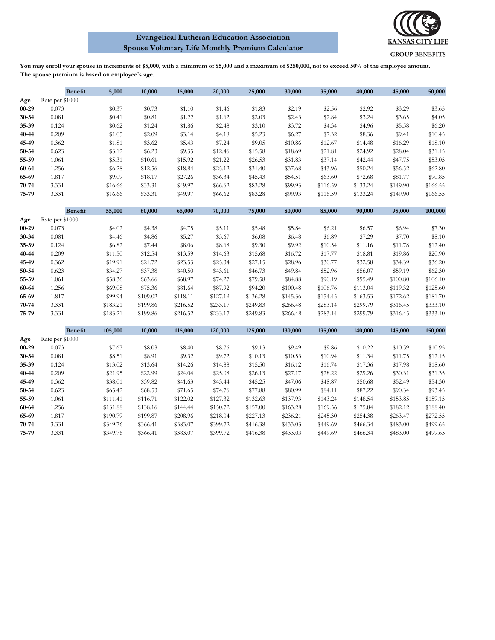#### **Evangelical Lutheran Education Association Spouse Voluntary Life Monthly Premium Calculator**



**You may enroll your spouse in increments of \$5,000, with a minimum of \$5,000 and a maximum of \$250,000, not to exceed 50% of the employee amount. The spouse premium is based on employee's age.**

|           | Benefit         | 5,000    | 10,000   | 15,000   | 20,000   | 25,000   | 30,000   | 35,000   | 40,000   | 45,000   | 50,000   |
|-----------|-----------------|----------|----------|----------|----------|----------|----------|----------|----------|----------|----------|
| Age       | Rate per \$1000 |          |          |          |          |          |          |          |          |          |          |
| $00 - 29$ | 0.073           | \$0.37   | \$0.73   | \$1.10   | \$1.46   | \$1.83   | \$2.19   | \$2.56   | \$2.92   | \$3.29   | \$3.65   |
| 30-34     | 0.081           | \$0.41   | \$0.81   | \$1.22   | \$1.62   | \$2.03   | \$2.43   | \$2.84   | \$3.24   | \$3.65   | \$4.05   |
| 35-39     | 0.124           | \$0.62   | \$1.24   | \$1.86   | \$2.48   | \$3.10   | \$3.72   | \$4.34   | \$4.96   | \$5.58   | \$6.20   |
| 40-44     | 0.209           | \$1.05   | \$2.09   | \$3.14   | \$4.18   | \$5.23   | \$6.27   | \$7.32   | \$8.36   | \$9.41   | \$10.45  |
| 45-49     | 0.362           | \$1.81   | \$3.62   | \$5.43   | \$7.24   | \$9.05   | \$10.86  | \$12.67  | \$14.48  | \$16.29  | \$18.10  |
| 50-54     | 0.623           | \$3.12   | \$6.23   | \$9.35   | \$12.46  | \$15.58  | \$18.69  | \$21.81  | \$24.92  | \$28.04  | \$31.15  |
| 55-59     | 1.061           | \$5.31   | \$10.61  | \$15.92  | \$21.22  | \$26.53  | \$31.83  | \$37.14  | \$42.44  | \$47.75  | \$53.05  |
| 60-64     | 1.256           | \$6.28   | \$12.56  | \$18.84  | \$25.12  | \$31.40  | \$37.68  | \$43.96  | \$50.24  | \$56.52  | \$62.80  |
| 65-69     | 1.817           | \$9.09   | \$18.17  | \$27.26  | \$36.34  | \$45.43  | \$54.51  | \$63.60  | \$72.68  | \$81.77  | \$90.85  |
| $70 - 74$ | 3.331           | \$16.66  | \$33.31  | \$49.97  | \$66.62  | \$83.28  | \$99.93  | \$116.59 | \$133.24 | \$149.90 | \$166.55 |
| 75-79     | 3.331           | \$16.66  | \$33.31  | \$49.97  | \$66.62  | \$83.28  | \$99.93  | \$116.59 | \$133.24 | \$149.90 | \$166.55 |
|           |                 |          |          |          |          |          |          |          |          |          |          |
|           | Benefit         | 55,000   | 60,000   | 65,000   | 70,000   | 75,000   | 80,000   | 85,000   | 90,000   | 95,000   | 100,000  |
| Age       | Rate per \$1000 |          |          |          |          |          |          |          |          |          |          |
| $00 - 29$ | 0.073           | \$4.02   | \$4.38   | \$4.75   | \$5.11   | \$5.48   | \$5.84   | \$6.21   | \$6.57   | \$6.94   | \$7.30   |
| 30-34     | 0.081           | \$4.46   | \$4.86   | \$5.27   | \$5.67   | \$6.08   | \$6.48   | \$6.89   | \$7.29   | \$7.70   | \$8.10   |
| 35-39     | 0.124           | \$6.82   | \$7.44   | \$8.06   | \$8.68   | \$9.30   | \$9.92   | \$10.54  | \$11.16  | \$11.78  | \$12.40  |
| 40-44     | 0.209           | \$11.50  | \$12.54  | \$13.59  | \$14.63  | \$15.68  | \$16.72  | \$17.77  | \$18.81  | \$19.86  | \$20.90  |
| 45-49     | 0.362           | \$19.91  | \$21.72  | \$23.53  | \$25.34  | \$27.15  | \$28.96  | \$30.77  | \$32.58  | \$34.39  | \$36.20  |
| 50-54     | 0.623           | \$34.27  | \$37.38  | \$40.50  | \$43.61  | \$46.73  | \$49.84  | \$52.96  | \$56.07  | \$59.19  | \$62.30  |
| 55-59     | 1.061           | \$58.36  | \$63.66  | \$68.97  | \$74.27  | \$79.58  | \$84.88  | \$90.19  | \$95.49  | \$100.80 | \$106.10 |
| 60-64     | 1.256           | \$69.08  | \$75.36  | \$81.64  | \$87.92  | \$94.20  | \$100.48 | \$106.76 | \$113.04 | \$119.32 | \$125.60 |
| 65-69     | 1.817           | \$99.94  | \$109.02 | \$118.11 | \$127.19 | \$136.28 | \$145.36 | \$154.45 | \$163.53 | \$172.62 | \$181.70 |
| 70-74     | 3.331           | \$183.21 | \$199.86 | \$216.52 | \$233.17 | \$249.83 | \$266.48 | \$283.14 | \$299.79 | \$316.45 | \$333.10 |
| 75-79     | 3.331           | \$183.21 | \$199.86 | \$216.52 | \$233.17 | \$249.83 | \$266.48 | \$283.14 | \$299.79 | \$316.45 | \$333.10 |
|           | Benefit         | 105,000  | 110,000  | 115,000  | 120,000  | 125,000  | 130,000  | 135,000  | 140,000  | 145,000  | 150,000  |
| Age       | Rate per \$1000 |          |          |          |          |          |          |          |          |          |          |
| $00 - 29$ | 0.073           | \$7.67   | \$8.03   | \$8.40   | \$8.76   | \$9.13   | \$9.49   | \$9.86   | \$10.22  | \$10.59  | \$10.95  |
| 30-34     | 0.081           | \$8.51   | \$8.91   | \$9.32   | \$9.72   | \$10.13  | \$10.53  | \$10.94  | \$11.34  | \$11.75  | \$12.15  |
| 35-39     | 0.124           | \$13.02  | \$13.64  | \$14.26  | \$14.88  | \$15.50  | \$16.12  | \$16.74  | \$17.36  | \$17.98  | \$18.60  |
| 40-44     | 0.209           | \$21.95  | \$22.99  | \$24.04  | \$25.08  | \$26.13  | \$27.17  | \$28.22  | \$29.26  | \$30.31  | \$31.35  |
| 45-49     | 0.362           | \$38.01  | \$39.82  | \$41.63  | \$43.44  | \$45.25  | \$47.06  | \$48.87  | \$50.68  | \$52.49  | \$54.30  |
| 50-54     | 0.623           | \$65.42  | \$68.53  | \$71.65  | \$74.76  | \$77.88  | \$80.99  | \$84.11  | \$87.22  | \$90.34  | \$93.45  |
| 55-59     | 1.061           | \$111.41 | \$116.71 | \$122.02 | \$127.32 | \$132.63 | \$137.93 | \$143.24 | \$148.54 | \$153.85 | \$159.15 |
| 60-64     | 1.256           | \$131.88 | \$138.16 | \$144.44 | \$150.72 | \$157.00 | \$163.28 | \$169.56 | \$175.84 | \$182.12 | \$188.40 |
| 65-69     | 1.817           | \$190.79 | \$199.87 | \$208.96 | \$218.04 | \$227.13 | \$236.21 | \$245.30 | \$254.38 | \$263.47 | \$272.55 |
| 70-74     | 3.331           | \$349.76 | \$366.41 | \$383.07 | \$399.72 | \$416.38 | \$433.03 | \$449.69 | \$466.34 | \$483.00 | \$499.65 |
| 75-79     | 3.331           | \$349.76 | \$366.41 | \$383.07 | \$399.72 | \$416.38 | \$433.03 | \$449.69 | \$466.34 | \$483.00 | \$499.65 |